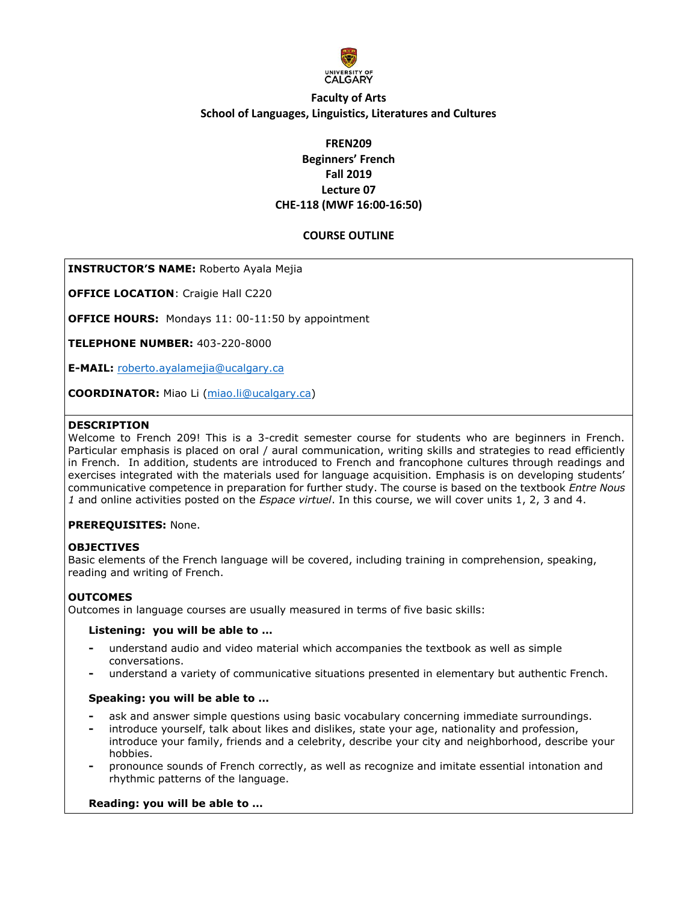

# **Faculty of Arts School of Languages, Linguistics, Literatures and Cultures**

# **FREN209 Beginners' French Fall 2019 Lecture 07 CHE-118 (MWF 16:00-16:50)**

## **COURSE OUTLINE**

## **INSTRUCTOR'S NAME:** Roberto Ayala Mejia

**OFFICE LOCATION**: Craigie Hall C220

**OFFICE HOURS:** Mondays 11: 00-11:50 by appointment

**TELEPHONE NUMBER:** 403-220-8000

**E-MAIL:** [roberto.ayalamejia@ucalgary.ca](mailto:roberto.ayalamejia@ucalgary.ca)

**COORDINATOR:** Miao Li [\(miao.li@ucalgary.ca\)](mailto:miao.li@ucalgary.ca)

### **DESCRIPTION**

Welcome to French 209! This is a 3-credit semester course for students who are beginners in French. Particular emphasis is placed on oral / aural communication, writing skills and strategies to read efficiently in French. In addition, students are introduced to French and francophone cultures through readings and exercises integrated with the materials used for language acquisition. Emphasis is on developing students' communicative competence in preparation for further study. The course is based on the textbook *Entre Nous 1* and online activities posted on the *Espace virtuel*. In this course, we will cover units 1, 2, 3 and 4.

## **PREREQUISITES:** None.

## **OBJECTIVES**

Basic elements of the French language will be covered, including training in comprehension, speaking, reading and writing of French.

## **OUTCOMES**

Outcomes in language courses are usually measured in terms of five basic skills:

### **Listening: you will be able to …**

- **-** understand audio and video material which accompanies the textbook as well as simple conversations.
- **-** understand a variety of communicative situations presented in elementary but authentic French.

## **Speaking: you will be able to …**

- **-** ask and answer simple questions using basic vocabulary concerning immediate surroundings.
- **-** introduce yourself, talk about likes and dislikes, state your age, nationality and profession, introduce your family, friends and a celebrity, describe your city and neighborhood, describe your hobbies.
- **-** pronounce sounds of French correctly, as well as recognize and imitate essential intonation and rhythmic patterns of the language.

## **Reading: you will be able to …**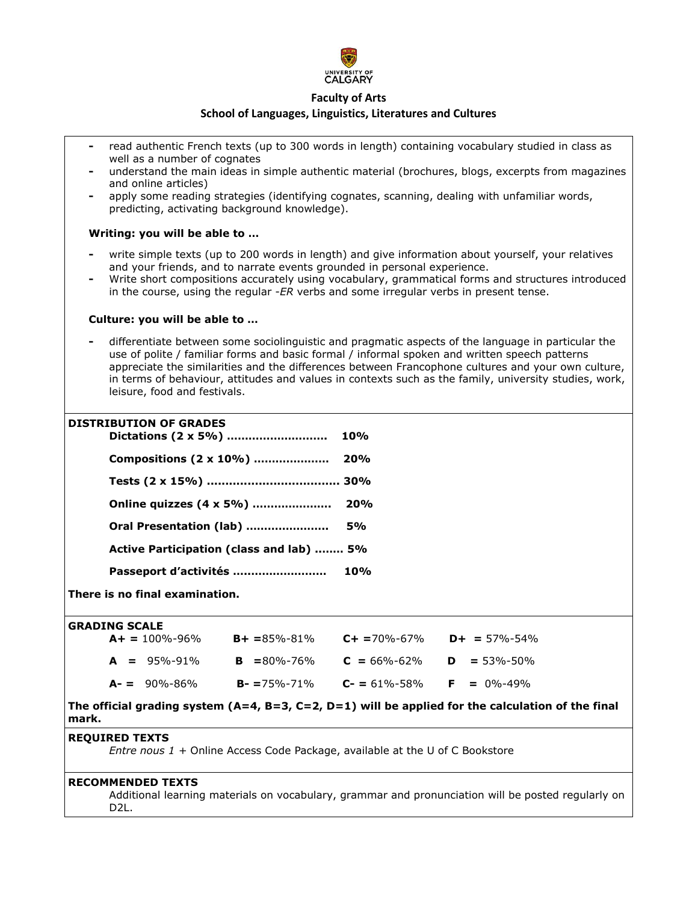

## **School of Languages, Linguistics, Literatures and Cultures**

- **-** read authentic French texts (up to 300 words in length) containing vocabulary studied in class as well as a number of cognates
- **-** understand the main ideas in simple authentic material (brochures, blogs, excerpts from magazines and online articles)
- **-** apply some reading strategies (identifying cognates, scanning, dealing with unfamiliar words, predicting, activating background knowledge).

### **Writing: you will be able to …**

- **-** write simple texts (up to 200 words in length) and give information about yourself, your relatives and your friends, and to narrate events grounded in personal experience.
- **-** Write short compositions accurately using vocabulary, grammatical forms and structures introduced in the course, using the regular -*ER* verbs and some irregular verbs in present tense.

### **Culture: you will be able to …**

**-** differentiate between some sociolinguistic and pragmatic aspects of the language in particular the use of polite / familiar forms and basic formal / informal spoken and written speech patterns appreciate the similarities and the differences between Francophone cultures and your own culture, in terms of behaviour, attitudes and values in contexts such as the family, university studies, work, leisure, food and festivals.

### **DISTRIBUTION OF GRADES**

|                                          | 10% |
|------------------------------------------|-----|
|                                          |     |
|                                          |     |
|                                          |     |
| Oral Presentation (lab)  5%              |     |
| Active Participation (class and lab)  5% |     |
|                                          |     |

**There is no final examination.**

#### **GRADING SCALE**

| $A+ = 100\% - 96\%$ | $B + = 85\% - 81\%$ | $C + = 70\% - 67\%$ | $D+ = 57\% - 54\%$ |
|---------------------|---------------------|---------------------|--------------------|
| $A = 95\% - 91\%$   | $B = 80\% - 76\%$   | $C = 66\% - 62\%$   | $D = 53\% - 50\%$  |
| $A - = 90\% - 86\%$ | $B - 75\% - 71\%$   | $C - 61\% - 58\%$   | $F = 0\% - 49\%$   |

**The official grading system (A=4, B=3, C=2, D=1) will be applied for the calculation of the final mark.**

### **REQUIRED TEXTS**

*Entre nous 1 +* Online Access Code Package, available at the U of C Bookstore

### **RECOMMENDED TEXTS**

Additional learning materials on vocabulary, grammar and pronunciation will be posted regularly on D2L.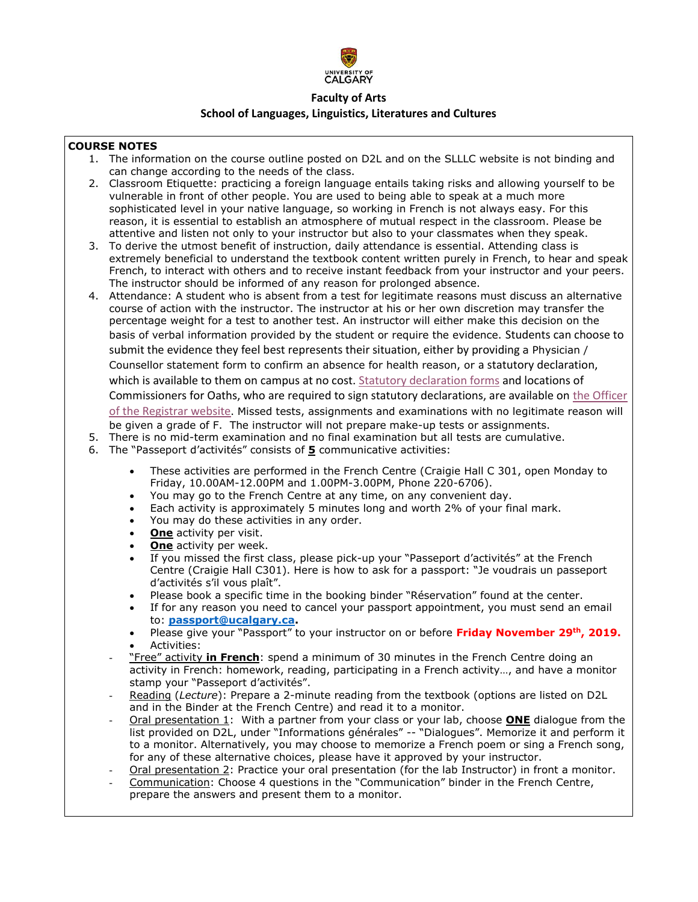

# **Faculty of Arts School of Languages, Linguistics, Literatures and Cultures**

## **COURSE NOTES**

- 1. The information on the course outline posted on D2L and on the SLLLC website is not binding and can change according to the needs of the class.
- 2. Classroom Etiquette: practicing a foreign language entails taking risks and allowing yourself to be vulnerable in front of other people. You are used to being able to speak at a much more sophisticated level in your native language, so working in French is not always easy. For this reason, it is essential to establish an atmosphere of mutual respect in the classroom. Please be attentive and listen not only to your instructor but also to your classmates when they speak.
- 3. To derive the utmost benefit of instruction, daily attendance is essential. Attending class is extremely beneficial to understand the textbook content written purely in French, to hear and speak French, to interact with others and to receive instant feedback from your instructor and your peers. The instructor should be informed of any reason for prolonged absence.
- 4. Attendance: A student who is absent from a test for legitimate reasons must discuss an alternative course of action with the instructor. The instructor at his or her own discretion may transfer the percentage weight for a test to another test. An instructor will either make this decision on the basis of verbal information provided by the student or require the evidence. Students can choose to submit the evidence they feel best represents their situation, either by providing a Physician / Counsellor statement form to confirm an absence for health reason, or a statutory declaration, which is available to them on campus at no cost. [Statutory declaration forms](https://www.ucalgary.ca/registrar/files/registrar/university-of-calgary-statutory-declaration-coursework-and-examinations.pdf) and locations of Commissioners for Oaths, who are required to sign statutory declarations, are available on [the Officer](https://www.ucalgary.ca/registrar/registration/appeals)  [of the Registrar website.](https://www.ucalgary.ca/registrar/registration/appeals) Missed tests, assignments and examinations with no legitimate reason will be given a grade of F. The instructor will not prepare make-up tests or assignments.
- 5. There is no mid-term examination and no final examination but all tests are cumulative.
- 6. The "Passeport d'activités" consists of **5** communicative activities:
	- These activities are performed in the French Centre (Craigie Hall C 301, open Monday to Friday, 10.00AM-12.00PM and 1.00PM-3.00PM, Phone 220-6706).
	- You may go to the French Centre at any time, on any convenient day.
	- Each activity is approximately 5 minutes long and worth 2% of your final mark.
	- You may do these activities in any order.
	- **One** activity per visit.
	- **One** activity per week.
	- If you missed the first class, please pick-up your "Passeport d'activités" at the French Centre (Craigie Hall C301). Here is how to ask for a passport: "Je voudrais un passeport d'activités s'il vous plaît".
	- Please book a specific time in the booking binder "Réservation" found at the center.
	- If for any reason you need to cancel your passport appointment, you must send an email to: **[passport@ucalgary.ca.](mailto:passport@ucalgary.ca)**
	- Please give your "Passport" to your instructor on or before **Friday November 29th, 2019.** Activities:
	- "Free" activity **in French**: spend a minimum of 30 minutes in the French Centre doing an activity in French: homework, reading, participating in a French activity…, and have a monitor stamp your "Passeport d'activités".
	- Reading (*Lecture*): Prepare a 2-minute reading from the textbook (options are listed on D2L and in the Binder at the French Centre) and read it to a monitor.
	- Oral presentation 1: With a partner from your class or your lab, choose **ONE** dialogue from the list provided on D2L, under "Informations générales" -- "Dialogues". Memorize it and perform it to a monitor. Alternatively, you may choose to memorize a French poem or sing a French song, for any of these alternative choices, please have it approved by your instructor.
	- Oral presentation 2: Practice your oral presentation (for the lab Instructor) in front a monitor.
	- Communication: Choose 4 questions in the "Communication" binder in the French Centre, prepare the answers and present them to a monitor.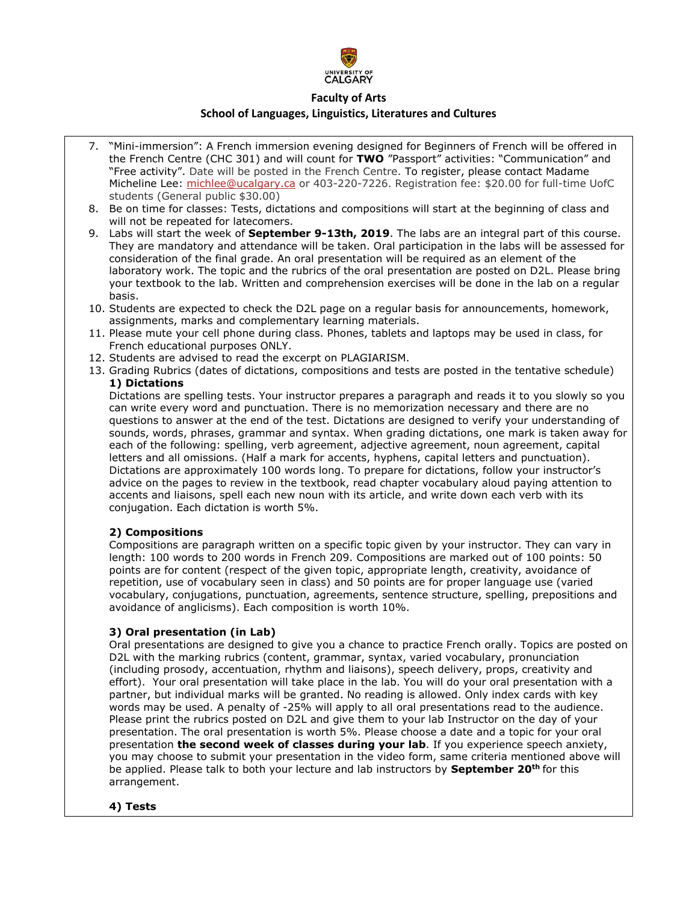

## **School of Languages, Linguistics, Literatures and Cultures**

- 7. "Mini-immersion": A French immersion evening designed for Beginners of French will be offered in the French Centre (CHC 301) and will count for **TWO** "Passport" activities: "Communication" and "Free activity". Date will be posted in the French Centre. To register, please contact Madame Micheline Lee: [michlee@ucalgary.ca](mailto:michlee@ucalgary.ca) or 403-220-7226. Registration fee: \$20.00 for full-time UofC students (General public \$30.00)
- 8. Be on time for classes: Tests, dictations and compositions will start at the beginning of class and will not be repeated for latecomers.
- 9. Labs will start the week of **September 9-13th, 2019**. The labs are an integral part of this course. They are mandatory and attendance will be taken. Oral participation in the labs will be assessed for consideration of the final grade. An oral presentation will be required as an element of the laboratory work. The topic and the rubrics of the oral presentation are posted on D2L. Please bring your textbook to the lab. Written and comprehension exercises will be done in the lab on a regular basis.
- 10. Students are expected to check the D2L page on a regular basis for announcements, homework, assignments, marks and complementary learning materials.
- 11. Please mute your cell phone during class. Phones, tablets and laptops may be used in class, for French educational purposes ONLY.
- 12. Students are advised to read the excerpt on PLAGIARISM.
- 13. Grading Rubrics (dates of dictations, compositions and tests are posted in the tentative schedule) **1) Dictations**

Dictations are spelling tests. Your instructor prepares a paragraph and reads it to you slowly so you can write every word and punctuation. There is no memorization necessary and there are no questions to answer at the end of the test. Dictations are designed to verify your understanding of sounds, words, phrases, grammar and syntax. When grading dictations, one mark is taken away for each of the following: spelling, verb agreement, adjective agreement, noun agreement, capital letters and all omissions. (Half a mark for accents, hyphens, capital letters and punctuation). Dictations are approximately 100 words long. To prepare for dictations, follow your instructor's advice on the pages to review in the textbook, read chapter vocabulary aloud paying attention to accents and liaisons, spell each new noun with its article, and write down each verb with its conjugation. Each dictation is worth 5%.

## **2) Compositions**

Compositions are paragraph written on a specific topic given by your instructor. They can vary in length: 100 words to 200 words in French 209. Compositions are marked out of 100 points: 50 points are for content (respect of the given topic, appropriate length, creativity, avoidance of repetition, use of vocabulary seen in class) and 50 points are for proper language use (varied vocabulary, conjugations, punctuation, agreements, sentence structure, spelling, prepositions and avoidance of anglicisms). Each composition is worth 10%.

## **3) Oral presentation (in Lab)**

Oral presentations are designed to give you a chance to practice French orally. Topics are posted on D2L with the marking rubrics (content, grammar, syntax, varied vocabulary, pronunciation (including prosody, accentuation, rhythm and liaisons), speech delivery, props, creativity and effort). Your oral presentation will take place in the lab. You will do your oral presentation with a partner, but individual marks will be granted. No reading is allowed. Only index cards with key words may be used. A penalty of -25% will apply to all oral presentations read to the audience. Please print the rubrics posted on D2L and give them to your lab Instructor on the day of your presentation. The oral presentation is worth 5%. Please choose a date and a topic for your oral presentation **the second week of classes during your lab**. If you experience speech anxiety, you may choose to submit your presentation in the video form, same criteria mentioned above will be applied. Please talk to both your lecture and lab instructors by **September 20th** for this arrangement.

## **4) Tests**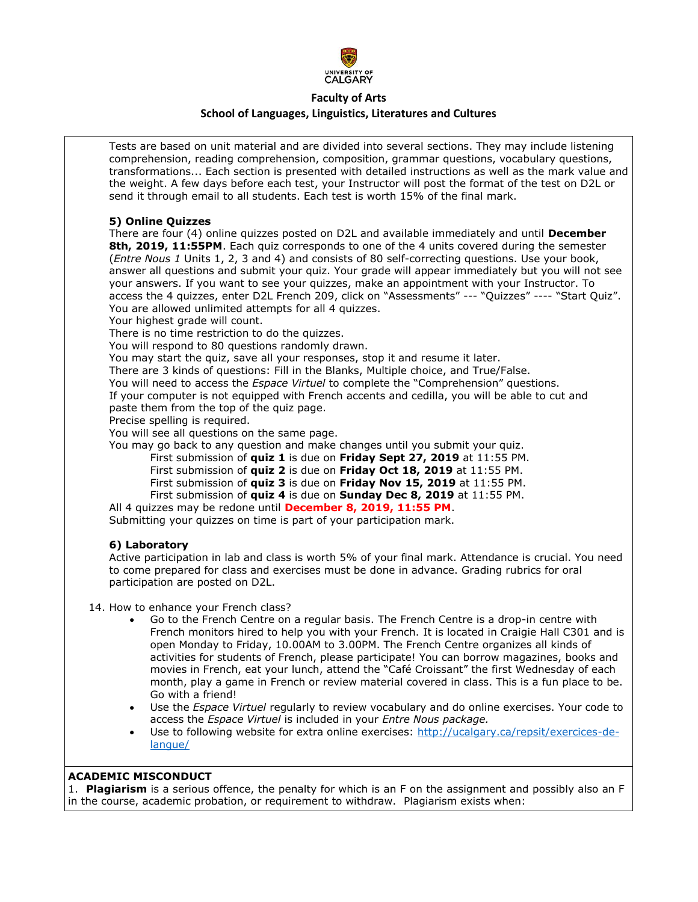

### **School of Languages, Linguistics, Literatures and Cultures**

Tests are based on unit material and are divided into several sections. They may include listening comprehension, reading comprehension, composition, grammar questions, vocabulary questions, transformations... Each section is presented with detailed instructions as well as the mark value and the weight. A few days before each test, your Instructor will post the format of the test on D2L or send it through email to all students. Each test is worth 15% of the final mark.

### **5) Online Quizzes**

There are four (4) online quizzes posted on D2L and available immediately and until **December 8th, 2019, 11:55PM**. Each quiz corresponds to one of the 4 units covered during the semester (*Entre Nous 1* Units 1, 2, 3 and 4) and consists of 80 self-correcting questions. Use your book, answer all questions and submit your quiz. Your grade will appear immediately but you will not see your answers. If you want to see your quizzes, make an appointment with your Instructor. To access the 4 quizzes, enter D2L French 209, click on "Assessments" --- "Quizzes" ---- "Start Quiz". You are allowed unlimited attempts for all 4 quizzes.

Your highest grade will count.

There is no time restriction to do the quizzes.

You will respond to 80 questions randomly drawn.

You may start the quiz, save all your responses, stop it and resume it later.

There are 3 kinds of questions: Fill in the Blanks, Multiple choice, and True/False.

You will need to access the *Espace Virtuel* to complete the "Comprehension" questions.

If your computer is not equipped with French accents and cedilla, you will be able to cut and paste them from the top of the quiz page.

Precise spelling is required.

You will see all questions on the same page.

You may go back to any question and make changes until you submit your quiz.

First submission of **quiz 1** is due on **Friday Sept 27, 2019** at 11:55 PM.

First submission of **quiz 2** is due on **Friday Oct 18, 2019** at 11:55 PM.

- First submission of **quiz 3** is due on **Friday Nov 15, 2019** at 11:55 PM.
- First submission of **quiz 4** is due on **Sunday Dec 8, 2019** at 11:55 PM.

All 4 quizzes may be redone until **December 8, 2019, 11:55 PM**. Submitting your quizzes on time is part of your participation mark.

## **6) Laboratory**

Active participation in lab and class is worth 5% of your final mark. Attendance is crucial. You need to come prepared for class and exercises must be done in advance. Grading rubrics for oral participation are posted on D2L.

14. How to enhance your French class?

- Go to the French Centre on a regular basis. The French Centre is a drop-in centre with French monitors hired to help you with your French. It is located in Craigie Hall C301 and is open Monday to Friday, 10.00AM to 3.00PM. The French Centre organizes all kinds of activities for students of French, please participate! You can borrow magazines, books and movies in French, eat your lunch, attend the "Café Croissant" the first Wednesday of each month, play a game in French or review material covered in class. This is a fun place to be. Go with a friend!
- Use the *Espace Virtuel* regularly to review vocabulary and do online exercises. Your code to access the *Espace Virtuel* is included in your *Entre Nous package.*
- Use to following website for extra online exercises: [http://ucalgary.ca/repsit/exercices-de](http://ucalgary.ca/repsit/exercices-de-langue/)[langue/](http://ucalgary.ca/repsit/exercices-de-langue/)

## **ACADEMIC MISCONDUCT**

1. **Plagiarism** is a serious offence, the penalty for which is an F on the assignment and possibly also an F in the course, academic probation, or requirement to withdraw. Plagiarism exists when: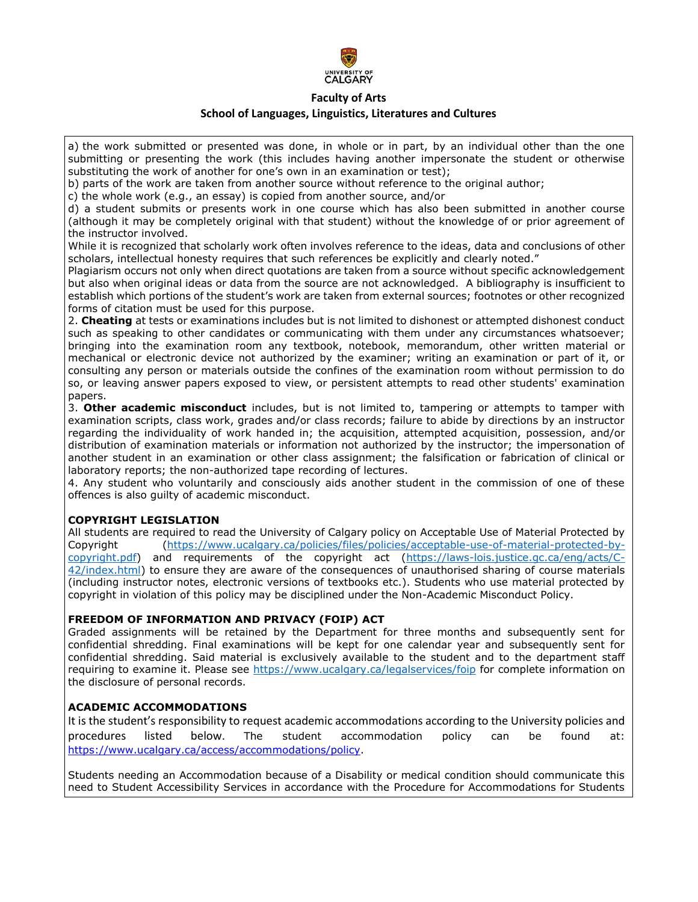

# **Faculty of Arts School of Languages, Linguistics, Literatures and Cultures**

a) the work submitted or presented was done, in whole or in part, by an individual other than the one submitting or presenting the work (this includes having another impersonate the student or otherwise substituting the work of another for one's own in an examination or test);

b) parts of the work are taken from another source without reference to the original author;

c) the whole work (e.g., an essay) is copied from another source, and/or

d) a student submits or presents work in one course which has also been submitted in another course (although it may be completely original with that student) without the knowledge of or prior agreement of the instructor involved.

While it is recognized that scholarly work often involves reference to the ideas, data and conclusions of other scholars, intellectual honesty requires that such references be explicitly and clearly noted."

Plagiarism occurs not only when direct quotations are taken from a source without specific acknowledgement but also when original ideas or data from the source are not acknowledged. A bibliography is insufficient to establish which portions of the student's work are taken from external sources; footnotes or other recognized forms of citation must be used for this purpose.

2. **Cheating** at tests or examinations includes but is not limited to dishonest or attempted dishonest conduct such as speaking to other candidates or communicating with them under any circumstances whatsoever; bringing into the examination room any textbook, notebook, memorandum, other written material or mechanical or electronic device not authorized by the examiner; writing an examination or part of it, or consulting any person or materials outside the confines of the examination room without permission to do so, or leaving answer papers exposed to view, or persistent attempts to read other students' examination papers.

3. **Other academic misconduct** includes, but is not limited to, tampering or attempts to tamper with examination scripts, class work, grades and/or class records; failure to abide by directions by an instructor regarding the individuality of work handed in; the acquisition, attempted acquisition, possession, and/or distribution of examination materials or information not authorized by the instructor; the impersonation of another student in an examination or other class assignment; the falsification or fabrication of clinical or laboratory reports; the non-authorized tape recording of lectures.

4. Any student who voluntarily and consciously aids another student in the commission of one of these offences is also guilty of academic misconduct.

## **COPYRIGHT LEGISLATION**

All students are required to read the University of Calgary policy on Acceptable Use of Material Protected by Copyright [\(https://www.ucalgary.ca/policies/files/policies/acceptable-use-of-material-protected-by](https://www.ucalgary.ca/policies/files/policies/acceptable-use-of-material-protected-by-copyright.pdf)[copyright.pdf\)](https://www.ucalgary.ca/policies/files/policies/acceptable-use-of-material-protected-by-copyright.pdf) and requirements of the copyright act [\(https://laws-lois.justice.gc.ca/eng/acts/C-](https://laws-lois.justice.gc.ca/eng/acts/C-42/index.html)[42/index.html\)](https://laws-lois.justice.gc.ca/eng/acts/C-42/index.html) to ensure they are aware of the consequences of unauthorised sharing of course materials (including instructor notes, electronic versions of textbooks etc.). Students who use material protected by copyright in violation of this policy may be disciplined under the Non-Academic Misconduct Policy.

## **FREEDOM OF INFORMATION AND PRIVACY (FOIP) ACT**

Graded assignments will be retained by the Department for three months and subsequently sent for confidential shredding. Final examinations will be kept for one calendar year and subsequently sent for confidential shredding. Said material is exclusively available to the student and to the department staff requiring to examine it. Please see<https://www.ucalgary.ca/legalservices/foip> for complete information on the disclosure of personal records.

## **ACADEMIC ACCOMMODATIONS**

It is the student's responsibility to request academic accommodations according to the University policies and procedures listed below. The student accommodation policy can be found at: [https://www.ucalgary.ca/access/accommodations/policy.](https://www.ucalgary.ca/access/accommodations/policy)

Students needing an Accommodation because of a Disability or medical condition should communicate this need to Student Accessibility Services in accordance with the Procedure for Accommodations for Students